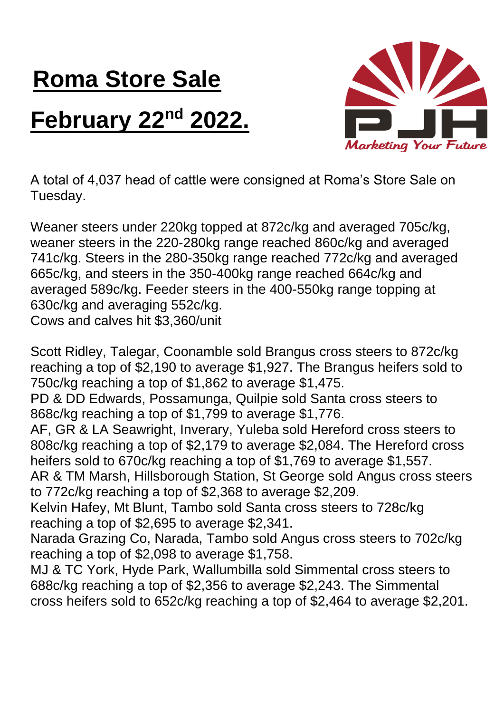## **Roma Store Sale February 22nd 2022.**



A total of 4,037 head of cattle were consigned at Roma's Store Sale on Tuesday.

Weaner steers under 220kg topped at 872c/kg and averaged 705c/kg, weaner steers in the 220-280kg range reached 860c/kg and averaged 741c/kg. Steers in the 280-350kg range reached 772c/kg and averaged 665c/kg, and steers in the 350-400kg range reached 664c/kg and averaged 589c/kg. Feeder steers in the 400-550kg range topping at 630c/kg and averaging 552c/kg. Cows and calves hit \$3,360/unit

Scott Ridley, Talegar, Coonamble sold Brangus cross steers to 872c/kg reaching a top of \$2,190 to average \$1,927. The Brangus heifers sold to 750c/kg reaching a top of \$1,862 to average \$1,475.

PD & DD Edwards, Possamunga, Quilpie sold Santa cross steers to 868c/kg reaching a top of \$1,799 to average \$1,776.

AF, GR & LA Seawright, Inverary, Yuleba sold Hereford cross steers to 808c/kg reaching a top of \$2,179 to average \$2,084. The Hereford cross heifers sold to 670c/kg reaching a top of \$1,769 to average \$1,557.

AR & TM Marsh, Hillsborough Station, St George sold Angus cross steers to 772c/kg reaching a top of \$2,368 to average \$2,209.

Kelvin Hafey, Mt Blunt, Tambo sold Santa cross steers to 728c/kg reaching a top of \$2,695 to average \$2,341.

Narada Grazing Co, Narada, Tambo sold Angus cross steers to 702c/kg reaching a top of \$2,098 to average \$1,758.

MJ & TC York, Hyde Park, Wallumbilla sold Simmental cross steers to 688c/kg reaching a top of \$2,356 to average \$2,243. The Simmental cross heifers sold to 652c/kg reaching a top of \$2,464 to average \$2,201.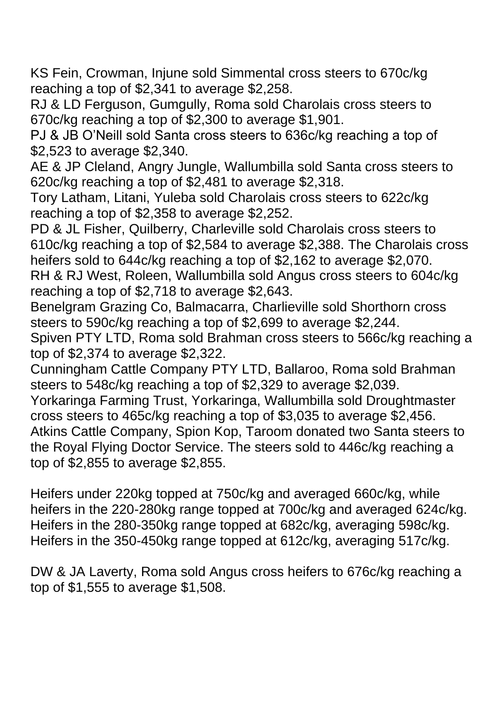KS Fein, Crowman, Injune sold Simmental cross steers to 670c/kg reaching a top of \$2,341 to average \$2,258.

RJ & LD Ferguson, Gumgully, Roma sold Charolais cross steers to 670c/kg reaching a top of \$2,300 to average \$1,901.

PJ & JB O'Neill sold Santa cross steers to 636c/kg reaching a top of \$2,523 to average \$2,340.

AE & JP Cleland, Angry Jungle, Wallumbilla sold Santa cross steers to 620c/kg reaching a top of \$2,481 to average \$2,318.

Tory Latham, Litani, Yuleba sold Charolais cross steers to 622c/kg reaching a top of \$2,358 to average \$2,252.

PD & JL Fisher, Quilberry, Charleville sold Charolais cross steers to 610c/kg reaching a top of \$2,584 to average \$2,388. The Charolais cross heifers sold to 644c/kg reaching a top of \$2,162 to average \$2,070.

RH & RJ West, Roleen, Wallumbilla sold Angus cross steers to 604c/kg reaching a top of \$2,718 to average \$2,643.

Benelgram Grazing Co, Balmacarra, Charlieville sold Shorthorn cross steers to 590c/kg reaching a top of \$2,699 to average \$2,244.

Spiven PTY LTD, Roma sold Brahman cross steers to 566c/kg reaching a top of \$2,374 to average \$2,322.

Cunningham Cattle Company PTY LTD, Ballaroo, Roma sold Brahman steers to 548c/kg reaching a top of \$2,329 to average \$2,039.

Yorkaringa Farming Trust, Yorkaringa, Wallumbilla sold Droughtmaster cross steers to 465c/kg reaching a top of \$3,035 to average \$2,456. Atkins Cattle Company, Spion Kop, Taroom donated two Santa steers to the Royal Flying Doctor Service. The steers sold to 446c/kg reaching a top of \$2,855 to average \$2,855.

Heifers under 220kg topped at 750c/kg and averaged 660c/kg, while heifers in the 220-280kg range topped at 700c/kg and averaged 624c/kg. Heifers in the 280-350kg range topped at 682c/kg, averaging 598c/kg. Heifers in the 350-450kg range topped at 612c/kg, averaging 517c/kg.

DW & JA Laverty, Roma sold Angus cross heifers to 676c/kg reaching a top of \$1,555 to average \$1,508.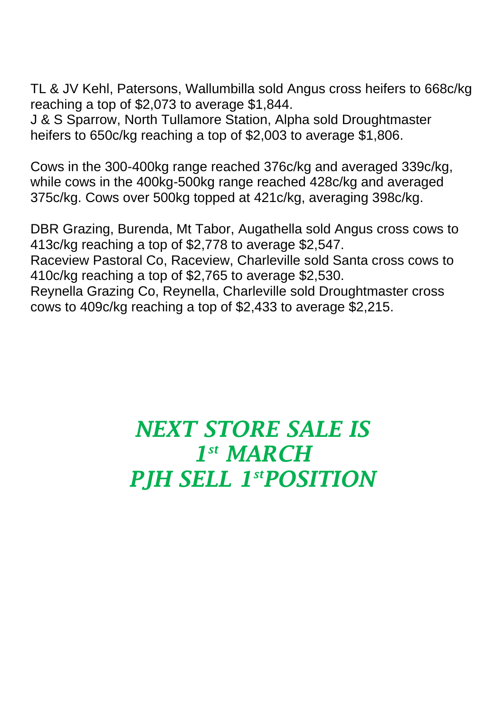TL & JV Kehl, Patersons, Wallumbilla sold Angus cross heifers to 668c/kg reaching a top of \$2,073 to average \$1,844.

J & S Sparrow, North Tullamore Station, Alpha sold Droughtmaster heifers to 650c/kg reaching a top of \$2,003 to average \$1,806.

Cows in the 300-400kg range reached 376c/kg and averaged 339c/kg, while cows in the 400kg-500kg range reached 428c/kg and averaged 375c/kg. Cows over 500kg topped at 421c/kg, averaging 398c/kg.

DBR Grazing, Burenda, Mt Tabor, Augathella sold Angus cross cows to 413c/kg reaching a top of \$2,778 to average \$2,547. Raceview Pastoral Co, Raceview, Charleville sold Santa cross cows to 410c/kg reaching a top of \$2,765 to average \$2,530. Reynella Grazing Co, Reynella, Charleville sold Droughtmaster cross cows to 409c/kg reaching a top of \$2,433 to average \$2,215.

## *NEXT STORE SALE IS 1 st MARCH PJH SELL 1 stPOSITION*